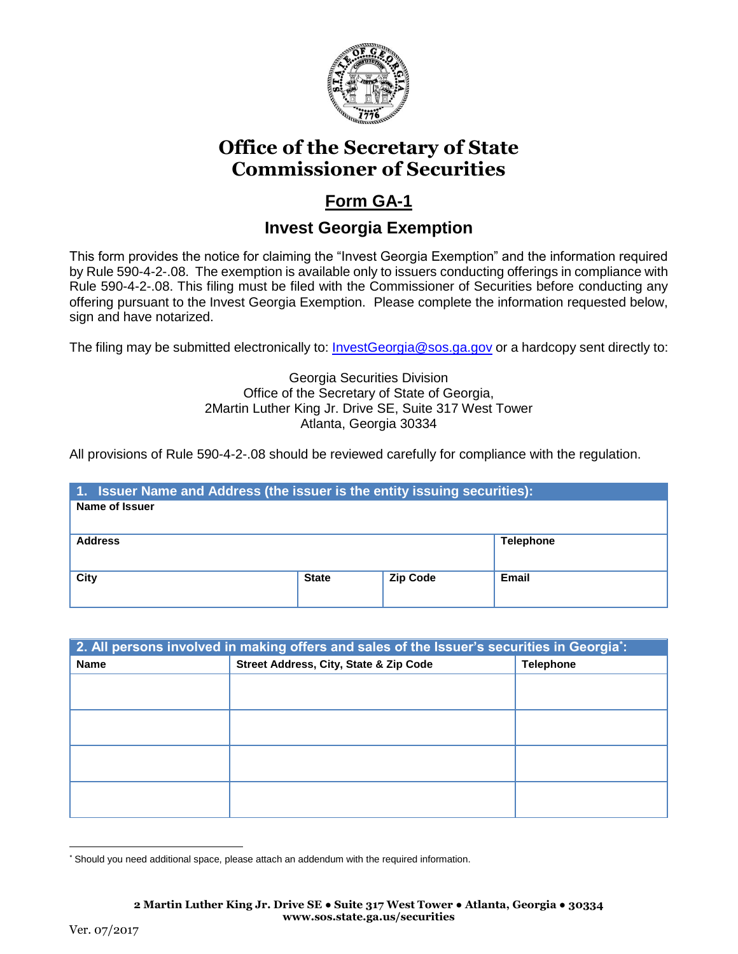

# **Office of the Secretary of State Commissioner of Securities**

## **Form GA-1**

## **Invest Georgia Exemption**

This form provides the notice for claiming the "Invest Georgia Exemption" and the information required by Rule 590-4-2-.08. The exemption is available only to issuers conducting offerings in compliance with Rule 590-4-2-.08. This filing must be filed with the Commissioner of Securities before conducting any offering pursuant to the Invest Georgia Exemption. Please complete the information requested below, sign and have notarized.

The filing may be submitted electronically to: *InvestGeorgia@sos.ga.gov* or a hardcopy sent directly to:

#### Georgia Securities Division Office of the Secretary of State of Georgia, 2Martin Luther King Jr. Drive SE, Suite 317 West Tower Atlanta, Georgia 30334

All provisions of Rule 590-4-2-.08 should be reviewed carefully for compliance with the regulation.

| 1. Issuer Name and Address (the issuer is the entity issuing securities): |              |                 |                  |  |  |  |
|---------------------------------------------------------------------------|--------------|-----------------|------------------|--|--|--|
| Name of Issuer                                                            |              |                 |                  |  |  |  |
|                                                                           |              |                 |                  |  |  |  |
| <b>Address</b>                                                            |              |                 | <b>Telephone</b> |  |  |  |
|                                                                           |              |                 |                  |  |  |  |
| <b>City</b>                                                               | <b>State</b> | <b>Zip Code</b> | Email            |  |  |  |
|                                                                           |              |                 |                  |  |  |  |

| 2. All persons involved in making offers and sales of the Issuer's securities in Georgia: |                                        |                  |  |  |
|-------------------------------------------------------------------------------------------|----------------------------------------|------------------|--|--|
| <b>Name</b>                                                                               | Street Address, City, State & Zip Code | <b>Telephone</b> |  |  |
|                                                                                           |                                        |                  |  |  |
|                                                                                           |                                        |                  |  |  |
|                                                                                           |                                        |                  |  |  |
|                                                                                           |                                        |                  |  |  |
|                                                                                           |                                        |                  |  |  |
|                                                                                           |                                        |                  |  |  |
|                                                                                           |                                        |                  |  |  |
|                                                                                           |                                        |                  |  |  |

 $\overline{a}$ \* Should you need additional space, please attach an addendum with the required information.